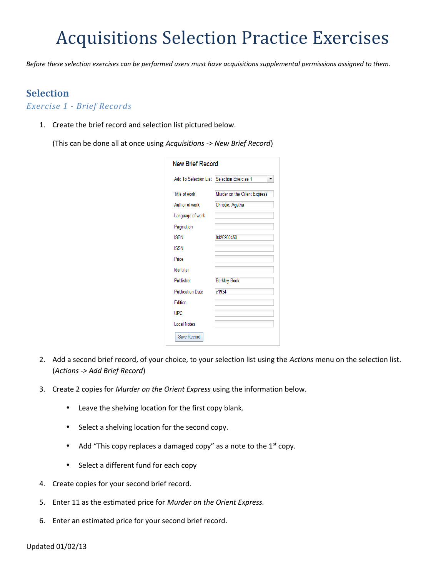# Acquisitions Selection Practice Exercises

*Before these selection exercises can be performed users must have acquisitions supplemental permissions assigned to them.*

# **Selection**

*Exercise 1 - Brief Records*

1. Create the brief record and selection list pictured below.

(This can be done all at once using *Acquisitions -> New Brief Record*)

| <b>New Brief Record</b>      |                              |
|------------------------------|------------------------------|
| <b>Add To Selection List</b> | <b>Selection Exercise 1</b>  |
| Title of work                | Murder on the Orient Express |
| Author of work               | Christie, Agatha             |
| Language of work             |                              |
| Pagination                   |                              |
| <b>ISBN</b>                  | 0425200450                   |
| <b>ISSN</b>                  |                              |
| Price                        |                              |
| Identifier                   |                              |
| Publisher                    | <b>Berkley Book</b>          |
| <b>Publication Date</b>      | c1934                        |
| Edition                      |                              |
| <b>UPC</b>                   |                              |
| Local Notes                  |                              |
| Save Record                  |                              |

- 2. Add a second brief record, of your choice, to your selection list using the *Actions* menu on the selection list. (*Actions -> Add Brief Record*)
- 3. Create 2 copies for *Murder on the Orient Express* using the information below.
	- Leave the shelving location for the first copy blank.
	- Select a shelving location for the second copy.
	- Add "This copy replaces a damaged copy" as a note to the  $1<sup>st</sup>$  copy.
	- Select a different fund for each copy
- 4. Create copies for your second brief record.
- 5. Enter 11 as the estimated price for *Murder on the Orient Express.*
- 6. Enter an estimated price for your second brief record.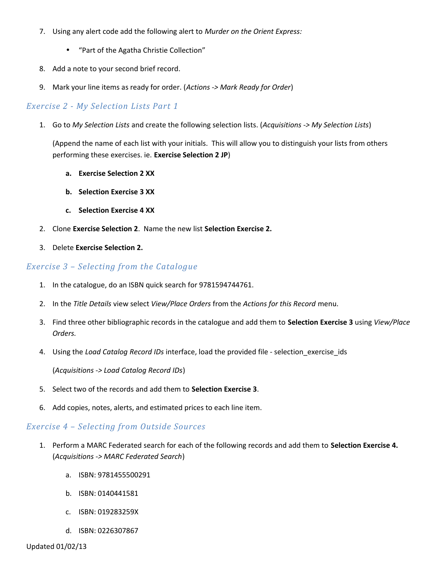- 7. Using any alert code add the following alert to *Murder on the Orient Express:*
	- "Part of the Agatha Christie Collection"
- 8. Add a note to your second brief record.
- 9. Mark your line items as ready for order. (*Actions -> Mark Ready for Order*)

## *Exercise 2 - My Selection Lists Part 1*

1. Go to *My Selection Lists* and create the following selection lists. (*Acquisitions -> My Selection Lists*)

(Append the name of each list with your initials. This will allow you to distinguish your lists from others performing these exercises. ie. **Exercise Selection 2 JP**)

- **a. Exercise Selection 2 XX**
- **b. Selection Exercise 3 XX**
- **c. Selection Exercise 4 XX**
- 2. Clone **Exercise Selection 2**. Name the new list **Selection Exercise 2.**
- 3. Delete **Exercise Selection 2.**

### *Exercise 3 – Selecting from the Catalogue*

- 1. In the catalogue, do an ISBN quick search for 9781594744761.
- 2. In the *Title Details* view select *View/Place Orders* from the *Actions for this Record* menu.
- 3. Find three other bibliographic records in the catalogue and add them to **Selection Exercise 3** using *View/Place Orders.*
- 4. Using the *Load Catalog Record IDs* interface, load the provided file selection\_exercise\_ids

(*Acquisitions -> Load Catalog Record IDs*)

- 5. Select two of the records and add them to **Selection Exercise 3**.
- 6. Add copies, notes, alerts, and estimated prices to each line item.

### *Exercise 4 – Selecting from Outside Sources*

- 1. Perform a MARC Federated search for each of the following records and add them to **Selection Exercise 4.** (*Acquisitions -> MARC Federated Search*)
	- a. ISBN: 9781455500291
	- b. ISBN: 0140441581
	- c. ISBN: 019283259X
	- d. ISBN: 0226307867